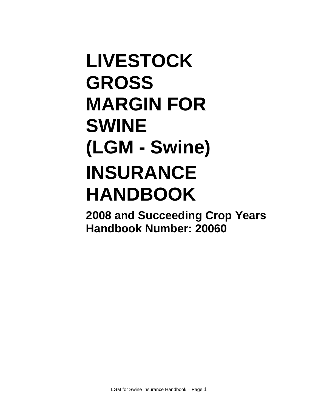# **LIVESTOCK GROSS MARGIN FOR SWINE (LGM - Swine) INSURANCE HANDBOOK**

**2008 and Succeeding Crop Years Handbook Number: 20060**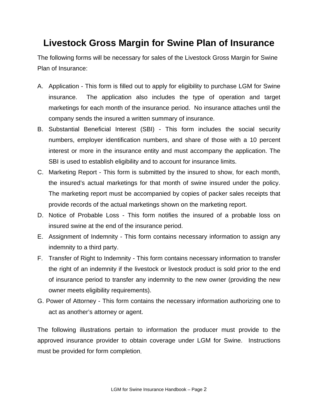# **Livestock Gross Margin for Swine Plan of Insurance**

The following forms will be necessary for sales of the Livestock Gross Margin for Swine Plan of Insurance:

- A. Application This form is filled out to apply for eligibility to purchase LGM for Swine insurance. The application also includes the type of operation and target marketings for each month of the insurance period. No insurance attaches until the company sends the insured a written summary of insurance.
- B. Substantial Beneficial Interest (SBI) This form includes the social security numbers, employer identification numbers, and share of those with a 10 percent interest or more in the insurance entity and must accompany the application. The SBI is used to establish eligibility and to account for insurance limits.
- C. Marketing Report This form is submitted by the insured to show, for each month, the insured's actual marketings for that month of swine insured under the policy. The marketing report must be accompanied by copies of packer sales receipts that provide records of the actual marketings shown on the marketing report.
- D. Notice of Probable Loss This form notifies the insured of a probable loss on insured swine at the end of the insurance period.
- E. Assignment of Indemnity This form contains necessary information to assign any indemnity to a third party.
- F. Transfer of Right to Indemnity This form contains necessary information to transfer the right of an indemnity if the livestock or livestock product is sold prior to the end of insurance period to transfer any indemnity to the new owner (providing the new owner meets eligibility requirements).
- G. Power of Attorney This form contains the necessary information authorizing one to act as another's attorney or agent.

The following illustrations pertain to information the producer must provide to the approved insurance provider to obtain coverage under LGM for Swine. Instructions must be provided for form completion.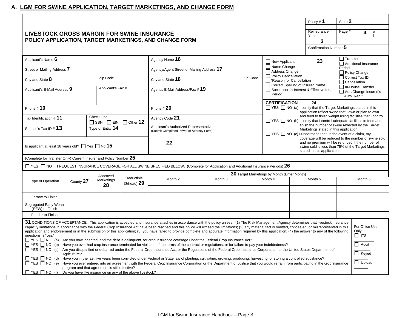## **A. LGM FOR SWINE APPLICATION, TARGET MARKETINGS, AND CHANGE FORM**

 $\mathbf{I}$ 

|                                                                                                           |              |                                                    |                 |                                                                                                                                                                                                                                                                                                                                                                                                                                                                                                                                                                                                                                                                                                                                                                                                                                                                                                                                                                                                                                                                                                                                                                                                                                                                                                                                                                                                                                                                                                                        |                    |          |                                                                                                                                                                         | Policy #1                | State 2                                                                               |
|-----------------------------------------------------------------------------------------------------------|--------------|----------------------------------------------------|-----------------|------------------------------------------------------------------------------------------------------------------------------------------------------------------------------------------------------------------------------------------------------------------------------------------------------------------------------------------------------------------------------------------------------------------------------------------------------------------------------------------------------------------------------------------------------------------------------------------------------------------------------------------------------------------------------------------------------------------------------------------------------------------------------------------------------------------------------------------------------------------------------------------------------------------------------------------------------------------------------------------------------------------------------------------------------------------------------------------------------------------------------------------------------------------------------------------------------------------------------------------------------------------------------------------------------------------------------------------------------------------------------------------------------------------------------------------------------------------------------------------------------------------------|--------------------|----------|-------------------------------------------------------------------------------------------------------------------------------------------------------------------------|--------------------------|---------------------------------------------------------------------------------------|
| <b>LIVESTOCK GROSS MARGIN FOR SWINE INSURANCE</b>                                                         |              |                                                    |                 | POLICY APPLICATION, TARGET MARKETINGS, AND CHANGE FORM                                                                                                                                                                                                                                                                                                                                                                                                                                                                                                                                                                                                                                                                                                                                                                                                                                                                                                                                                                                                                                                                                                                                                                                                                                                                                                                                                                                                                                                                 |                    |          |                                                                                                                                                                         | Reinsurance<br>Year<br>3 | Page #<br>$\mathsf{o}$                                                                |
|                                                                                                           |              |                                                    |                 |                                                                                                                                                                                                                                                                                                                                                                                                                                                                                                                                                                                                                                                                                                                                                                                                                                                                                                                                                                                                                                                                                                                                                                                                                                                                                                                                                                                                                                                                                                                        |                    |          |                                                                                                                                                                         | Confirmation Number 5    |                                                                                       |
| Applicant's Name $\boldsymbol{6}$                                                                         |              |                                                    |                 | Agency Name 16                                                                                                                                                                                                                                                                                                                                                                                                                                                                                                                                                                                                                                                                                                                                                                                                                                                                                                                                                                                                                                                                                                                                                                                                                                                                                                                                                                                                                                                                                                         |                    |          | $\Box$ New Applicant                                                                                                                                                    | 23                       | $\Box$ Transfer<br>Additional Insurance                                               |
| Street or Mailing Address 7                                                                               |              |                                                    |                 | Agency/Agent Street or Mailing Address 17                                                                                                                                                                                                                                                                                                                                                                                                                                                                                                                                                                                                                                                                                                                                                                                                                                                                                                                                                                                                                                                                                                                                                                                                                                                                                                                                                                                                                                                                              |                    |          | Name Change<br>Address Change                                                                                                                                           |                          | Period<br>$\Box$ Policy Change                                                        |
| City and State 8                                                                                          |              | Zip Code                                           |                 | City and State 18                                                                                                                                                                                                                                                                                                                                                                                                                                                                                                                                                                                                                                                                                                                                                                                                                                                                                                                                                                                                                                                                                                                                                                                                                                                                                                                                                                                                                                                                                                      |                    | Zip Code | Policy Cancellation<br>*Reason for Cancellation                                                                                                                         |                          | □ Correct Tax ID<br>$\Box$ Cancellation                                               |
| Applicant's E-Mail Address 9                                                                              |              | Applicant's Fax #                                  |                 | Agent's E-Mail Address/Fax # 19                                                                                                                                                                                                                                                                                                                                                                                                                                                                                                                                                                                                                                                                                                                                                                                                                                                                                                                                                                                                                                                                                                                                                                                                                                                                                                                                                                                                                                                                                        |                    |          | Correct Spelling of Insured Name<br>In-House Transfer<br>Successor-In-Interest & Effective Ins.<br>Add/Change Insured's<br>Period<br>Auth. Rep.*                        |                          |                                                                                       |
| Phone # 10                                                                                                |              |                                                    |                 | Phone $#20$                                                                                                                                                                                                                                                                                                                                                                                                                                                                                                                                                                                                                                                                                                                                                                                                                                                                                                                                                                                                                                                                                                                                                                                                                                                                                                                                                                                                                                                                                                            |                    |          | <b>CERTIFICATION</b><br>24<br>□ YES □ NO (a) I certify that the Target Marketings stated in this<br>application reflect swine that I own or plan to own                 |                          |                                                                                       |
| Tax Identification # 11                                                                                   |              | Check One<br>$\Box$ SSN $\Box$ EIN $\Box$ Other 12 |                 | Agency Code 21                                                                                                                                                                                                                                                                                                                                                                                                                                                                                                                                                                                                                                                                                                                                                                                                                                                                                                                                                                                                                                                                                                                                                                                                                                                                                                                                                                                                                                                                                                         |                    |          | and feed to finish weight using facilities that I control.<br>□ YES □ NO (b) I certify that I control adequate facilities to feed and                                   |                          |                                                                                       |
| Spouse's Tax ID # 13                                                                                      |              | Type of Entity 14                                  |                 | Applicant's Authorized Representative<br>(Submit Completed Power of Attorney Form)                                                                                                                                                                                                                                                                                                                                                                                                                                                                                                                                                                                                                                                                                                                                                                                                                                                                                                                                                                                                                                                                                                                                                                                                                                                                                                                                                                                                                                     |                    |          | finish the number of swine reflected by the Target<br>Marketings stated in this application.<br>$\Box$ YES $\Box$ NO (c) I understand that, in the event of a claim, my |                          |                                                                                       |
| Is applicant at least 18 years old? $\Box$ Yes $\Box$ No 15                                               |              |                                                    |                 | coverage will be reduced to the number of swine sold<br>and no premium will be refunded if the number of<br>22<br>swine sold is less than 75% of the Target Marketings<br>stated in this application.                                                                                                                                                                                                                                                                                                                                                                                                                                                                                                                                                                                                                                                                                                                                                                                                                                                                                                                                                                                                                                                                                                                                                                                                                                                                                                                  |                    |          |                                                                                                                                                                         |                          |                                                                                       |
| (Complete for Transfer Only) Current Insurer and Policy Number 25                                         |              |                                                    |                 |                                                                                                                                                                                                                                                                                                                                                                                                                                                                                                                                                                                                                                                                                                                                                                                                                                                                                                                                                                                                                                                                                                                                                                                                                                                                                                                                                                                                                                                                                                                        |                    |          |                                                                                                                                                                         |                          |                                                                                       |
|                                                                                                           |              |                                                    |                 | $\Box$ YES $\Box$ NO IREQUEST INSURANCE COVERAGE FOR ALL SWINE SPECIFIED BELOW. (Complete for Application and Additional Insurance Periods) 26                                                                                                                                                                                                                                                                                                                                                                                                                                                                                                                                                                                                                                                                                                                                                                                                                                                                                                                                                                                                                                                                                                                                                                                                                                                                                                                                                                         |                    |          |                                                                                                                                                                         |                          |                                                                                       |
|                                                                                                           |              | Approved                                           | Deductible      |                                                                                                                                                                                                                                                                                                                                                                                                                                                                                                                                                                                                                                                                                                                                                                                                                                                                                                                                                                                                                                                                                                                                                                                                                                                                                                                                                                                                                                                                                                                        |                    |          | 30 Target Marketings by Month (Enter Month)                                                                                                                             |                          |                                                                                       |
| <b>Type of Operation</b>                                                                                  | County 27    | Marketings<br>28                                   | $$$ /head) $29$ | Month 2                                                                                                                                                                                                                                                                                                                                                                                                                                                                                                                                                                                                                                                                                                                                                                                                                                                                                                                                                                                                                                                                                                                                                                                                                                                                                                                                                                                                                                                                                                                | Month <sub>3</sub> |          | Month 4                                                                                                                                                                 | Month <sub>5</sub>       | Month <sub>6</sub>                                                                    |
| Farrow to Finish                                                                                          |              |                                                    |                 |                                                                                                                                                                                                                                                                                                                                                                                                                                                                                                                                                                                                                                                                                                                                                                                                                                                                                                                                                                                                                                                                                                                                                                                                                                                                                                                                                                                                                                                                                                                        |                    |          |                                                                                                                                                                         |                          |                                                                                       |
| Segregated Early Wean<br>(SEW) to Finish                                                                  |              |                                                    |                 |                                                                                                                                                                                                                                                                                                                                                                                                                                                                                                                                                                                                                                                                                                                                                                                                                                                                                                                                                                                                                                                                                                                                                                                                                                                                                                                                                                                                                                                                                                                        |                    |          |                                                                                                                                                                         |                          |                                                                                       |
| Feeder to Finish                                                                                          |              |                                                    |                 |                                                                                                                                                                                                                                                                                                                                                                                                                                                                                                                                                                                                                                                                                                                                                                                                                                                                                                                                                                                                                                                                                                                                                                                                                                                                                                                                                                                                                                                                                                                        |                    |          |                                                                                                                                                                         |                          |                                                                                       |
| questions is "yes."<br>$\Box$ YES $\Box$ NO (f) Do you have like insurance on any of the above livestock? | Agriculture? | program and that agreement is still effective?     |                 | 31 CONDITIONS OF ACCEPTANCE: This application is accepted and insurance attaches in accordance with the policy unless: (1) The Risk Management Agency determines that livestock insurance<br>capacity limitations in accordance with the Federal Crop Insurance Act have been reached and this policy will exceed the limitations; (2) any material fact is omitted, concealed, or misrepresented in this<br>application and endorsement or in the submission of this application; (3) you have failed to provide complete and accurate information required by this application; (4) the answer to any of the following<br>□ YES □ NO (a) Are you now indebted, and the debt is delinquent, for crop insurance coverage under the Federal Crop Insurance Act?<br>□ YES □ NO (b) Have you ever had crop insurance terminated for violation of the terms of the contract or regulations, or for failure to pay your indebtedness?<br>□ YES □ NO (c) Are you disqualified or debarred under the Federal Crop Insurance Act, or the Requlations of the Federal Crop Insurance Corporation, or the United States Department of<br>□ YES □ NO (d) Have you in the last five years been convicted under Federal or State law of planting, cultivating, growing, producing, harvesting, or storing a controlled substance?<br>□ YES □ NO (e) Have you ever entered into an agreement with the Federal Crop Insurance Corporation or the Department of Justice that you would refrain from participating in the crop insurance |                    |          |                                                                                                                                                                         |                          | For Office Use<br>Only<br>$\Box$ its<br>$\Box$ Audit<br>$\Box$ Keyed<br>$\Box$ Upload |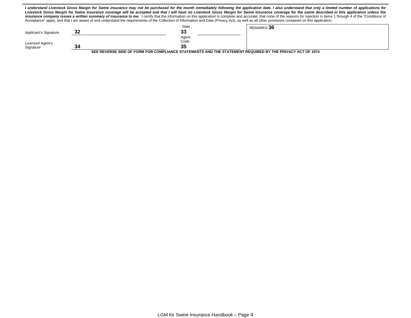|                       |    |       | I understand Livestock Gross Margin for Swine insurance may not be purchased for the month immediately following the application date. I also understand that only a limited number of applications for<br>Livestock Gross Margin for Swine Insurance coverage will be accepted and that I will have no Livestock Gross Margin for Swine insurance coverage for the swine described in this application unless the<br>insurance company issues a written summary of insurance to me. I certify that the information on this application is complete and accurate; that none of the reasons for rejection in items 1 through 4 of the "Conditions of<br>Acceptance" apply; and that I am aware of and understand the requirements of the Collection of Information and Data (Privacy Act), as well as all other provisions contained on this application. |
|-----------------------|----|-------|----------------------------------------------------------------------------------------------------------------------------------------------------------------------------------------------------------------------------------------------------------------------------------------------------------------------------------------------------------------------------------------------------------------------------------------------------------------------------------------------------------------------------------------------------------------------------------------------------------------------------------------------------------------------------------------------------------------------------------------------------------------------------------------------------------------------------------------------------------|
|                       |    | Date  | REMARKS 36                                                                                                                                                                                                                                                                                                                                                                                                                                                                                                                                                                                                                                                                                                                                                                                                                                               |
| Applicant's Signature | 32 | 33    |                                                                                                                                                                                                                                                                                                                                                                                                                                                                                                                                                                                                                                                                                                                                                                                                                                                          |
|                       |    | Agent |                                                                                                                                                                                                                                                                                                                                                                                                                                                                                                                                                                                                                                                                                                                                                                                                                                                          |
| Licensed Agent's      |    | Code  |                                                                                                                                                                                                                                                                                                                                                                                                                                                                                                                                                                                                                                                                                                                                                                                                                                                          |
| Signature             | 34 | 35    |                                                                                                                                                                                                                                                                                                                                                                                                                                                                                                                                                                                                                                                                                                                                                                                                                                                          |

**SEE REVERSE SIDE OF FORM FOR COMPLIANCE STATEMENTS AND THE STATEMENT REQUIRED BY THE PRIVACY ACT OF 1974**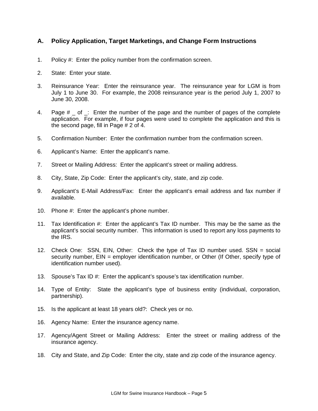## **A. Policy Application, Target Marketings, and Change Form Instructions**

- 1. Policy #: Enter the policy number from the confirmation screen.
- 2. State: Enter your state.
- 3. Reinsurance Year: Enter the reinsurance year. The reinsurance year for LGM is from July 1 to June 30. For example, the 2008 reinsurance year is the period July 1, 2007 to June 30, 2008.
- 4. Page  $#_$  of  $\cong$ : Enter the number of the page and the number of pages of the complete application. For example, if four pages were used to complete the application and this is the second page, fill in Page # 2 of 4.
- 5. Confirmation Number: Enter the confirmation number from the confirmation screen.
- 6. Applicant's Name: Enter the applicant's name.
- 7. Street or Mailing Address: Enter the applicant's street or mailing address.
- 8. City, State, Zip Code: Enter the applicant's city, state, and zip code.
- 9. Applicant's E-Mail Address/Fax: Enter the applicant's email address and fax number if available.
- 10. Phone #: Enter the applicant's phone number.
- 11. Tax Identification #: Enter the applicant's Tax ID number. This may be the same as the applicant's social security number. This information is used to report any loss payments to the IRS.
- 12. Check One: SSN, EIN, Other: Check the type of Tax ID number used. SSN = social security number, EIN = employer identification number, or Other (If Other, specify type of identification number used).
- 13. Spouse's Tax ID #: Enter the applicant's spouse's tax identification number.
- 14. Type of Entity: State the applicant's type of business entity (individual, corporation, partnership).
- 15. Is the applicant at least 18 years old?: Check yes or no.
- 16. Agency Name: Enter the insurance agency name.
- 17. Agency/Agent Street or Mailing Address: Enter the street or mailing address of the insurance agency.
- 18. City and State, and Zip Code: Enter the city, state and zip code of the insurance agency.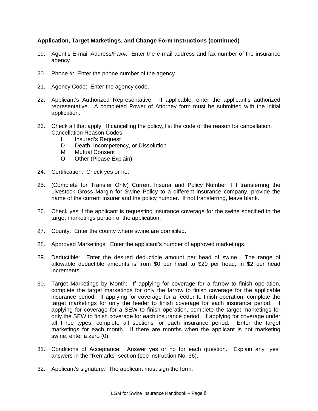#### **Application, Target Marketings, and Change Form Instructions (continued)**

- 19. Agent's E-mail Address/Fax#: Enter the e-mail address and fax number of the insurance agency.
- 20. Phone #: Enter the phone number of the agency.
- 21. Agency Code: Enter the agency code.
- 22. Applicant's Authorized Representative: If applicable, enter the applicant's authorized representative. A completed Power of Attorney form must be submitted with the initial application.
- 23. Check all that apply. If cancelling the policy, list the code of the reason for cancellation. Cancellation Reason Codes
	- I Insured's Request
	- D Death, Incompetency, or Dissolution
	- M Mutual Consent
	- O Other (Please Explain)
- 24. Certification: Check yes or no.
- 25. (Complete for Transfer Only) Current Insurer and Policy Number: I f transferring the Livestock Gross Margin for Swine Policy to a different insurance company, provide the name of the current insurer and the policy number. If not transferring, leave blank.
- 26. Check yes if the applicant is requesting insurance coverage for the swine specified in the target marketings portion of the application.
- 27. County: Enter the county where swine are domiciled.
- 28. Approved Marketings: Enter the applicant's number of approved marketings.
- 29. Deductible: Enter the desired deductible amount per head of swine. The range of allowable deductible amounts is from \$0 per head to \$20 per head, in \$2 per head increments.
- 30. Target Marketings by Month: If applying for coverage for a farrow to finish operation, complete the target marketings for only the farrow to finish coverage for the applicable insurance period. If applying for coverage for a feeder to finish operation, complete the target marketings for only the feeder to finish coverage for each insurance period. If applying for coverage for a SEW to finish operation, complete the target marketings for only the SEW to finish coverage for each insurance period. If applying for coverage under all three types, complete all sections for each insurance period. Enter the target marketings for each month. If there are months when the applicant is not marketing swine, enter a zero (0).
- 31. Conditions of Acceptance: Answer yes or no for each question. Explain any "yes" answers in the "Remarks" section (see instruction No. 36).
- 32. Applicant's signature: The applicant must sign the form.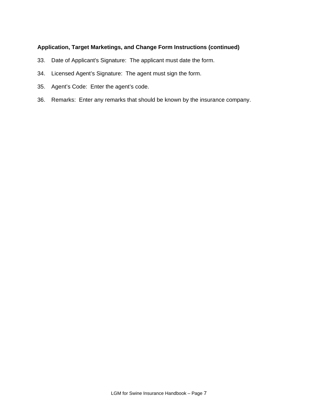#### **Application, Target Marketings, and Change Form Instructions (continued)**

- 33. Date of Applicant's Signature: The applicant must date the form.
- 34. Licensed Agent's Signature: The agent must sign the form.
- 35. Agent's Code: Enter the agent's code.
- 36. Remarks: Enter any remarks that should be known by the insurance company.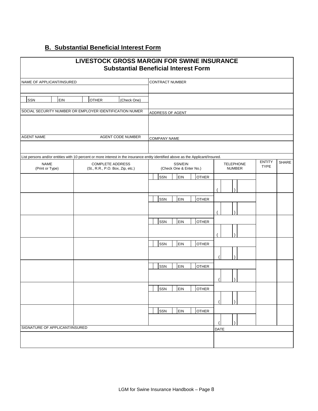## **B. Substantial Beneficial Interest Form**

|                                | <b>LIVESTOCK GROSS MARGIN FOR SWINE INSURANCE</b>                                                                                | <b>Substantial Beneficial Interest Form</b> |                                   |               |              |
|--------------------------------|----------------------------------------------------------------------------------------------------------------------------------|---------------------------------------------|-----------------------------------|---------------|--------------|
| NAME OF APPLICANT/INSURED      |                                                                                                                                  | <b>CONTRACT NUMBER</b>                      |                                   |               |              |
| SSN<br>EIN                     | <b>OTHER</b><br>(Check One)                                                                                                      |                                             |                                   |               |              |
|                                | SOCIAL SECURITY NUMBER OR EMPLOYER IDENTIFICATION NUMER                                                                          | ADDRESS OF AGENT                            |                                   |               |              |
| <b>AGENT NAME</b>              | AGENT CODE NUMBER                                                                                                                | COMPANY NAME                                |                                   |               |              |
|                                | List persons and/or entities with 10 percent or more interest in the insurance entity identified above as the Applicant/Insured. |                                             |                                   | <b>ENTITY</b> | <b>SHARE</b> |
| <b>NAME</b><br>(Print or Type) | <b>COMPLETE ADDRESS</b><br>(St., R.R., P.O. Box, Zip, etc.)                                                                      | SSN/EIN<br>(Check One & Enter No.)          | <b>TELEPHONE</b><br><b>NUMBER</b> | <b>TYPE</b>   |              |
|                                |                                                                                                                                  | SSN<br>EIN<br><b>OTHER</b>                  |                                   |               |              |
|                                |                                                                                                                                  | SSN<br>EIN<br><b>OTHER</b>                  |                                   |               |              |
|                                |                                                                                                                                  | EIN<br>SSN<br><b>OTHER</b>                  |                                   |               |              |
|                                |                                                                                                                                  | <b>OTHER</b><br>SSN<br><b>EIN</b>           |                                   |               |              |
|                                |                                                                                                                                  |                                             |                                   |               |              |
|                                |                                                                                                                                  | <b>OTHER</b><br>SSN<br>EIN                  |                                   |               |              |
|                                |                                                                                                                                  | SSN<br>EIN<br><b>OTHER</b>                  |                                   |               |              |
|                                |                                                                                                                                  | SSN<br>EIN<br><b>OTHER</b>                  |                                   |               |              |
| SIGNATURE OF APPLICANT/INSURED |                                                                                                                                  |                                             |                                   |               |              |
|                                |                                                                                                                                  |                                             | <b>DATE</b>                       |               |              |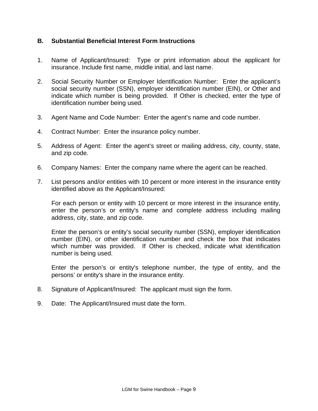## **B. Substantial Beneficial Interest Form Instructions**

- 1. Name of Applicant/Insured: Type or print information about the applicant for insurance. Include first name, middle initial, and last name.
- 2. Social Security Number or Employer Identification Number: Enter the applicant's social security number (SSN), employer identification number (EIN), or Other and indicate which number is being provided. If Other is checked, enter the type of identification number being used.
- 3. Agent Name and Code Number: Enter the agent's name and code number.
- 4. Contract Number: Enter the insurance policy number.
- 5. Address of Agent: Enter the agent's street or mailing address, city, county, state, and zip code.
- 6. Company Names: Enter the company name where the agent can be reached.
- 7. List persons and/or entities with 10 percent or more interest in the insurance entity identified above as the Applicant/Insured:

 For each person or entity with 10 percent or more interest in the insurance entity, enter the person's or entity's name and complete address including mailing address, city, state, and zip code.

 Enter the person's or entity's social security number (SSN), employer identification number (EIN), or other identification number and check the box that indicates which number was provided. If Other is checked, indicate what identification number is being used.

 Enter the person's or entity's telephone number, the type of entity, and the persons' or entity's share in the insurance entity.

- 8. Signature of Applicant/Insured: The applicant must sign the form.
- 9. Date: The Applicant/Insured must date the form.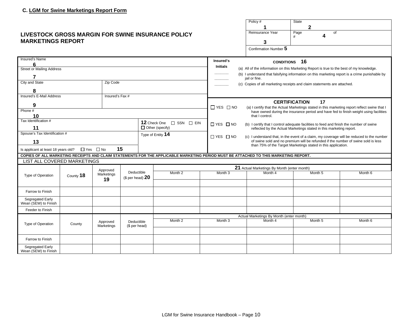#### **LIVESTO MARKET**

|                                                            |           |                        |                             |                                                                                                                                      |                                                                                                                                                                                | Policy #                                    | State<br>2                                                                                                                                                                             |         |
|------------------------------------------------------------|-----------|------------------------|-----------------------------|--------------------------------------------------------------------------------------------------------------------------------------|--------------------------------------------------------------------------------------------------------------------------------------------------------------------------------|---------------------------------------------|----------------------------------------------------------------------------------------------------------------------------------------------------------------------------------------|---------|
|                                                            |           |                        |                             | <b>LIVESTOCK GROSS MARGIN FOR SWINE INSURANCE POLICY</b>                                                                             |                                                                                                                                                                                | Reinsurance Year                            | Page<br>of                                                                                                                                                                             |         |
| <b>MARKETINGS REPORT</b>                                   |           |                        |                             |                                                                                                                                      |                                                                                                                                                                                | 3                                           | 4<br>#                                                                                                                                                                                 |         |
|                                                            |           |                        |                             |                                                                                                                                      |                                                                                                                                                                                | Confirmation Number 5                       |                                                                                                                                                                                        |         |
|                                                            |           |                        |                             |                                                                                                                                      |                                                                                                                                                                                |                                             |                                                                                                                                                                                        |         |
| Insured's Name                                             |           |                        |                             |                                                                                                                                      | Insured's                                                                                                                                                                      | <b>CONDITIONS</b>                           | 16                                                                                                                                                                                     |         |
| հ<br><b>Street or Mailing Address</b>                      |           |                        |                             |                                                                                                                                      | <b>Initials</b>                                                                                                                                                                |                                             | (a) All of the information on this Marketing Report is true to the best of my knowledge.                                                                                               |         |
| 7                                                          |           |                        |                             |                                                                                                                                      |                                                                                                                                                                                | jail or fine.                               | (b) I understand that falsifying information on this marketing report is a crime punishable by                                                                                         |         |
| City and State                                             |           | Zip Code               |                             |                                                                                                                                      |                                                                                                                                                                                |                                             | (c) Copies of all marketing receipts and claim statements are attached.                                                                                                                |         |
| 8                                                          |           |                        |                             |                                                                                                                                      |                                                                                                                                                                                |                                             |                                                                                                                                                                                        |         |
| Insured's E-Mail Address                                   |           | Insured's Fax #        |                             |                                                                                                                                      |                                                                                                                                                                                |                                             |                                                                                                                                                                                        |         |
| 9                                                          |           |                        |                             |                                                                                                                                      |                                                                                                                                                                                |                                             | <b>CERTIFICATION</b><br>17                                                                                                                                                             |         |
| Phone #                                                    |           |                        |                             |                                                                                                                                      | $\Box$ YES $\Box$ NO                                                                                                                                                           |                                             | (a) I certify that the Actual Marketings stated in this marketing report reflect swine that I<br>have owned during the insurance period and have fed to finish weight using facilities |         |
| 10                                                         |           |                        |                             |                                                                                                                                      |                                                                                                                                                                                | that I control.                             |                                                                                                                                                                                        |         |
| Tax Identification #<br>12 Check One $\Box$ SSN $\Box$ EIN |           |                        | $\Box$ YES $\Box$ NO        |                                                                                                                                      | (b) I certify that I control adequate facilities to feed and finish the number of swine                                                                                        |                                             |                                                                                                                                                                                        |         |
| $\Box$ Other (specify)<br>11                               |           |                        |                             |                                                                                                                                      | reflected by the Actual Marketings stated in this marketing report.                                                                                                            |                                             |                                                                                                                                                                                        |         |
| Spouse's Tax Identification #                              |           |                        |                             | Type of Entity 14                                                                                                                    | $\Box$ YES $\Box$ NO                                                                                                                                                           |                                             |                                                                                                                                                                                        |         |
| 13                                                         |           |                        |                             |                                                                                                                                      | (c) I understand that, in the event of a claim, my coverage will be reduced to the number<br>of swine sold and no premium will be refunded if the number of swine sold is less |                                             |                                                                                                                                                                                        |         |
| Is applicant at least 18 years old?                        |           | $\Box$ Yes $\Box$ No   | 15                          |                                                                                                                                      | than 75% of the Target Marketings stated in this application.                                                                                                                  |                                             |                                                                                                                                                                                        |         |
|                                                            |           |                        |                             | COPIES OF ALL MARKETING RECEIPTS AND CLAIM STATEMENTS FOR THE APPLICABLE MARKETING PERIOD MUST BE ATTACHED TO THIS MARKETING REPORT. |                                                                                                                                                                                |                                             |                                                                                                                                                                                        |         |
| LIST ALL COVERED MARKETINGS                                |           |                        |                             |                                                                                                                                      |                                                                                                                                                                                |                                             |                                                                                                                                                                                        |         |
|                                                            |           | Approved               |                             |                                                                                                                                      |                                                                                                                                                                                | 21 Actual Marketings By Month (enter month) |                                                                                                                                                                                        |         |
| Type of Operation                                          | County 18 | Marketings             | Deductible                  | Month 2                                                                                                                              | Month <sub>3</sub>                                                                                                                                                             | Month 4                                     | Month <sub>5</sub>                                                                                                                                                                     | Month 6 |
|                                                            |           | 19                     | (\$ per head) $20$          |                                                                                                                                      |                                                                                                                                                                                |                                             |                                                                                                                                                                                        |         |
| Farrow to Finish                                           |           |                        |                             |                                                                                                                                      |                                                                                                                                                                                |                                             |                                                                                                                                                                                        |         |
| Segregated Early<br>Wean (SEW) to Finish                   |           |                        |                             |                                                                                                                                      |                                                                                                                                                                                |                                             |                                                                                                                                                                                        |         |
| Feeder to Finish                                           |           |                        |                             |                                                                                                                                      |                                                                                                                                                                                |                                             |                                                                                                                                                                                        |         |
|                                                            |           |                        |                             |                                                                                                                                      |                                                                                                                                                                                | Actual Marketings By Month (enter month)    |                                                                                                                                                                                        |         |
| Type of Operation                                          | County    | Approved<br>Marketings | Deductible<br>(\$ per head) | Month 2                                                                                                                              | Month <sub>3</sub>                                                                                                                                                             | Month 4                                     | Month 5                                                                                                                                                                                | Month 6 |
|                                                            |           |                        |                             |                                                                                                                                      |                                                                                                                                                                                |                                             |                                                                                                                                                                                        |         |
| Farrow to Finish                                           |           |                        |                             |                                                                                                                                      |                                                                                                                                                                                |                                             |                                                                                                                                                                                        |         |
| Segregated Early<br>Wean (SEW) to Finish                   |           |                        |                             |                                                                                                                                      |                                                                                                                                                                                |                                             |                                                                                                                                                                                        |         |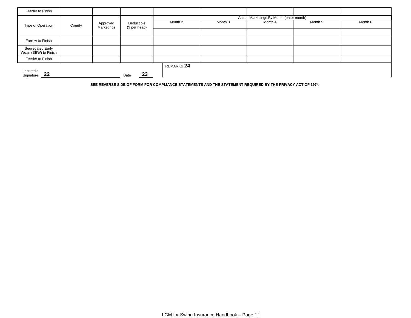| Feeder to Finish                         |        |                        |                             |            |         |                                          |         |         |
|------------------------------------------|--------|------------------------|-----------------------------|------------|---------|------------------------------------------|---------|---------|
|                                          |        |                        |                             |            |         | Actual Marketings By Month (enter month) |         |         |
| Type of Operation                        | County | Approved<br>Marketings | Deductible<br>(\$ per head) | Month 2    | Month 3 | Month 4                                  | Month 5 | Month 6 |
|                                          |        |                        |                             |            |         |                                          |         |         |
| Farrow to Finish                         |        |                        |                             |            |         |                                          |         |         |
| Segregated Early<br>Wean (SEW) to Finish |        |                        |                             |            |         |                                          |         |         |
| Feeder to Finish                         |        |                        |                             |            |         |                                          |         |         |
|                                          |        |                        |                             | REMARKS 24 |         |                                          |         |         |
| Insured's<br>22<br>Signature             |        |                        | 23<br>Date                  |            |         |                                          |         |         |

**SEE REVERSE SIDE OF FORM FOR COMPLIANCE STATEMENTS AND THE STATEMENT REQUIRED BY THE PRIVACY ACT OF 1974**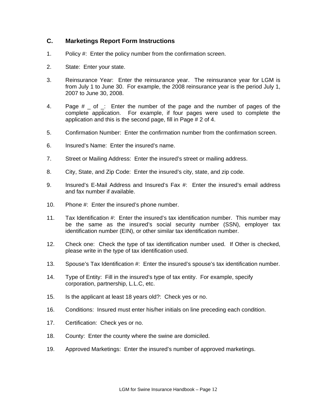## **C. Marketings Report Form Instructions**

- 1. Policy #: Enter the policy number from the confirmation screen.
- 2. State: Enter your state.
- 3. Reinsurance Year: Enter the reinsurance year. The reinsurance year for LGM is from July 1 to June 30. For example, the 2008 reinsurance year is the period July 1, 2007 to June 30, 2008.
- 4. Page # of : Enter the number of the page and the number of pages of the complete application. For example, if four pages were used to complete the application and this is the second page, fill in Page # 2 of 4.
- 5. Confirmation Number: Enter the confirmation number from the confirmation screen.
- 6. Insured's Name: Enter the insured's name.
- 7. Street or Mailing Address: Enter the insured's street or mailing address.
- 8. City, State, and Zip Code: Enter the insured's city, state, and zip code.
- 9. Insured's E-Mail Address and Insured's Fax #: Enter the insured's email address and fax number if available.
- 10. Phone #: Enter the insured's phone number.
- 11. Tax Identification #: Enter the insured's tax identification number. This number may be the same as the insured's social security number (SSN), employer tax identification number (EIN), or other similar tax identification number.
- 12. Check one: Check the type of tax identification number used. If Other is checked, please write in the type of tax identification used.
- 13. Spouse's Tax Identification #: Enter the insured's spouse's tax identification number.
- 14. Type of Entity: Fill in the insured's type of tax entity. For example, specify corporation, partnership, L.L.C, etc.
- 15. Is the applicant at least 18 years old?: Check yes or no.
- 16. Conditions: Insured must enter his/her initials on line preceding each condition.
- 17. Certification: Check yes or no.
- 18. County: Enter the county where the swine are domiciled.
- 19. Approved Marketings: Enter the insured's number of approved marketings.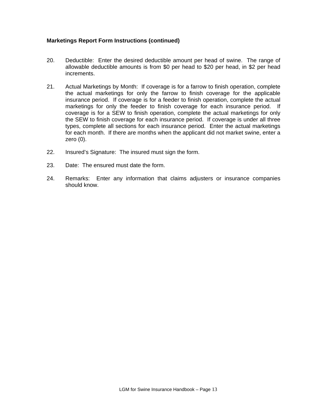#### **Marketings Report Form Instructions (continued)**

- 20. Deductible: Enter the desired deductible amount per head of swine. The range of allowable deductible amounts is from \$0 per head to \$20 per head, in \$2 per head increments.
- 21. Actual Marketings by Month: If coverage is for a farrow to finish operation, complete the actual marketings for only the farrow to finish coverage for the applicable insurance period. If coverage is for a feeder to finish operation, complete the actual marketings for only the feeder to finish coverage for each insurance period. If coverage is for a SEW to finish operation, complete the actual marketings for only the SEW to finish coverage for each insurance period. If coverage is under all three types, complete all sections for each insurance period. Enter the actual marketings for each month. If there are months when the applicant did not market swine, enter a zero (0).
- 22. Insured's Signature: The insured must sign the form.
- 23. Date: The ensured must date the form.
- 24. Remarks: Enter any information that claims adjusters or insurance companies should know.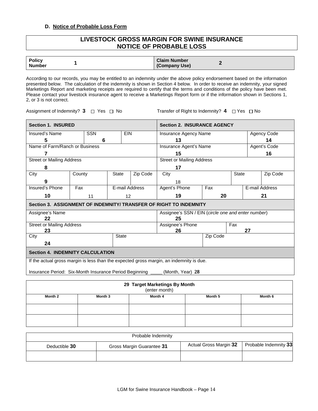#### **D. Notice of Probable Loss Form**

#### **LIVESTOCK GROSS MARGIN FOR SWINE INSURANCE NOTICE OF PROBABLE LOSS**

| <b>Policy</b> | <b>Claim Number</b> |
|---------------|---------------------|
| <b>Number</b> | (Company Use)       |

According to our records, you may be entitled to an indemnity under the above policy endorsement based on the information presented below. The calculation of the indemnity is shown in Section 4 below. In order to receive an indemnity, your signed Marketings Report and marketing receipts are required to certify that the terms and conditions of the policy have been met. Please contact your livestock insurance agent to receive a Marketings Report form or if the information shown in Sections 1, 2, or 3 is not correct.

Assignment of Indemnity? 3  $\Box$  Yes  $\Box$  No Transfer of Right to Indemnity? 4  $\Box$  Yes  $\Box$  No

| <b>Section 1. INSURED</b>                                                               |        |            |              |                | <b>Section 2. INSURANCE AGENCY</b>                 |          |              |    |                |
|-----------------------------------------------------------------------------------------|--------|------------|--------------|----------------|----------------------------------------------------|----------|--------------|----|----------------|
| Insured's Name                                                                          |        | <b>SSN</b> |              | <b>EIN</b>     | Insurance Agency Name                              |          |              |    | Agency Code    |
| 5                                                                                       |        | 6          |              |                | 13                                                 |          |              |    | 14             |
| Name of Farm/Ranch or Business                                                          |        |            |              |                | Agent's Code<br>Insurance Agent's Name             |          |              |    |                |
| 7                                                                                       |        |            |              |                | 15                                                 |          |              |    | 16             |
| <b>Street or Mailing Address</b>                                                        |        |            |              |                | <b>Street or Mailing Address</b>                   |          |              |    |                |
| 8                                                                                       |        |            |              |                | 17                                                 |          |              |    |                |
| City                                                                                    | County |            | <b>State</b> | Zip Code       | City                                               |          | <b>State</b> |    | Zip Code       |
| g                                                                                       |        |            |              |                | 18                                                 |          |              |    |                |
| Insured's Phone                                                                         | Fax    |            |              | E-mail Address | Agent's Phone                                      | Fax      |              |    | E-mail Address |
| 10                                                                                      |        | 11         |              | 12             | 19                                                 | 20       |              |    | 21             |
| Section 3. ASSIGNMENT OF INDEMNITY/ TRANSFER OF RIGHT TO INDEMNITY                      |        |            |              |                |                                                    |          |              |    |                |
| Assignee's Name                                                                         |        |            |              |                | Assignee's SSN / EIN (circle one and enter number) |          |              |    |                |
| 22                                                                                      |        |            |              |                | 25                                                 |          |              |    |                |
| <b>Street or Mailing Address</b><br>23                                                  |        |            |              |                | Assignee's Phone                                   |          | Fax          | 27 |                |
| City                                                                                    |        |            | <b>State</b> |                | 26                                                 | Zip Code |              |    |                |
| 24                                                                                      |        |            |              |                |                                                    |          |              |    |                |
|                                                                                         |        |            |              |                |                                                    |          |              |    |                |
| <b>Section 4. INDEMNITY CALCULATION</b>                                                 |        |            |              |                |                                                    |          |              |    |                |
| If the actual gross margin is less than the expected gross margin, an indemnity is due. |        |            |              |                |                                                    |          |              |    |                |
| Insurance Period: Six-Month Insurance Period Beginning                                  |        |            |              |                | (Month, Year) 28                                   |          |              |    |                |
|                                                                                         |        |            |              |                |                                                    |          |              |    |                |
|                                                                                         |        |            |              |                | 29 Target Marketings By Month                      |          |              |    |                |
|                                                                                         |        |            |              |                | (enter month)                                      |          |              |    |                |
| Month 2                                                                                 |        | Month 3    |              |                | Month 4                                            | Month 5  |              |    | Month 6        |
|                                                                                         |        |            |              |                |                                                    |          |              |    |                |
|                                                                                         |        |            |              |                |                                                    |          |              |    |                |

| Probable Indemnity |                           |                        |                       |  |  |  |  |
|--------------------|---------------------------|------------------------|-----------------------|--|--|--|--|
| Deductible 30      | Gross Margin Guarantee 31 | Actual Gross Margin 32 | Probable Indemnity 33 |  |  |  |  |
|                    |                           |                        |                       |  |  |  |  |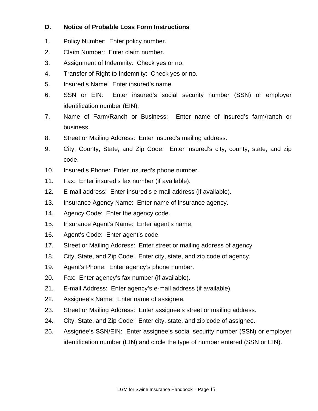## **D. Notice of Probable Loss Form Instructions**

- 1. Policy Number: Enter policy number.
- 2. Claim Number: Enter claim number.
- 3. Assignment of Indemnity: Check yes or no.
- 4. Transfer of Right to Indemnity: Check yes or no.
- 5. Insured's Name: Enter insured's name.
- 6. SSN or EIN: Enter insured's social security number (SSN) or employer identification number (EIN).
- 7. Name of Farm/Ranch or Business: Enter name of insured's farm/ranch or business.
- 8. Street or Mailing Address: Enter insured's mailing address.
- 9. City, County, State, and Zip Code: Enter insured's city, county, state, and zip code.
- 10. Insured's Phone: Enter insured's phone number.
- 11. Fax: Enter insured's fax number (if available).
- 12. E-mail address: Enter insured's e-mail address (if available).
- 13. Insurance Agency Name: Enter name of insurance agency.
- 14. Agency Code: Enter the agency code.
- 15. Insurance Agent's Name: Enter agent's name.
- 16. Agent's Code: Enter agent's code.
- 17. Street or Mailing Address: Enter street or mailing address of agency
- 18. City, State, and Zip Code: Enter city, state, and zip code of agency.
- 19. Agent's Phone: Enter agency's phone number.
- 20. Fax: Enter agency's fax number (if available).
- 21. E-mail Address: Enter agency's e-mail address (if available).
- 22. Assignee's Name: Enter name of assignee.
- 23. Street or Mailing Address: Enter assignee's street or mailing address.
- 24. City, State, and Zip Code: Enter city, state, and zip code of assignee.
- 25. Assignee's SSN/EIN: Enter assignee's social security number (SSN) or employer identification number (EIN) and circle the type of number entered (SSN or EIN).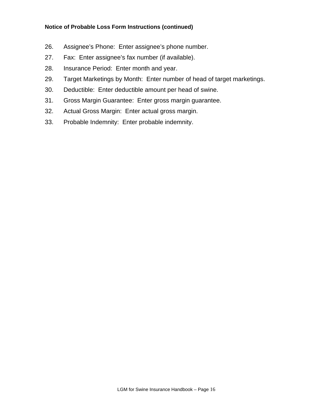#### **Notice of Probable Loss Form Instructions (continued)**

- 26. Assignee's Phone: Enter assignee's phone number.
- 27. Fax: Enter assignee's fax number (if available).
- 28. Insurance Period: Enter month and year.
- 29. Target Marketings by Month: Enter number of head of target marketings.
- 30. Deductible: Enter deductible amount per head of swine.
- 31. Gross Margin Guarantee: Enter gross margin guarantee.
- 32. Actual Gross Margin: Enter actual gross margin.
- 33. Probable Indemnity: Enter probable indemnity.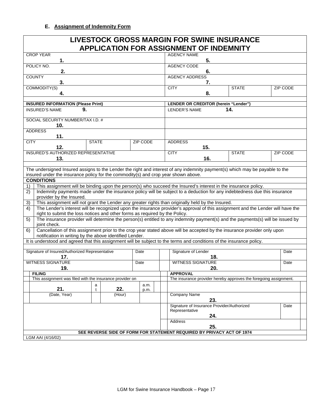| <b>LIVESTOCK GROSS MARGIN FOR SWINE INSURANCE</b><br><b>APPLICATION FOR ASSIGNMENT OF INDEMNITY</b>                                                                                                                  |                 |                          |                                            |                                                                  |          |  |  |  |
|----------------------------------------------------------------------------------------------------------------------------------------------------------------------------------------------------------------------|-----------------|--------------------------|--------------------------------------------|------------------------------------------------------------------|----------|--|--|--|
| <b>CROP YEAR</b><br>1.                                                                                                                                                                                               |                 | <b>AGENCY NAME</b><br>5. |                                            |                                                                  |          |  |  |  |
| POLICY NO.<br>2.                                                                                                                                                                                                     |                 | <b>AGENCY CODE</b><br>6. |                                            |                                                                  |          |  |  |  |
| <b>COUNTY</b><br>3.                                                                                                                                                                                                  |                 | <b>AGENCY ADDRESS</b>    | 7.                                         |                                                                  |          |  |  |  |
| COMMODITY(S)                                                                                                                                                                                                         |                 | <b>CITY</b>              |                                            | <b>STATE</b>                                                     | ZIP CODE |  |  |  |
| 4.                                                                                                                                                                                                                   |                 |                          | 8.                                         |                                                                  |          |  |  |  |
| <b>INSURED INFORMATION (Please Print)</b>                                                                                                                                                                            |                 |                          | LENDER OR CREDITOR (herein "Lender")       |                                                                  |          |  |  |  |
| 9.<br><b>INSURED'S NAME</b>                                                                                                                                                                                          |                 | <b>LENDER'S NAME</b>     |                                            | 14.                                                              |          |  |  |  |
| SOCIAL SECURITY NUMBER/TAX I.D. #<br>10.                                                                                                                                                                             |                 |                          |                                            |                                                                  |          |  |  |  |
| <b>ADDRESS</b><br>11.                                                                                                                                                                                                |                 |                          |                                            |                                                                  |          |  |  |  |
| <b>STATE</b><br><b>CITY</b>                                                                                                                                                                                          | <b>ZIP CODE</b> | <b>ADDRESS</b>           |                                            |                                                                  |          |  |  |  |
| 12.                                                                                                                                                                                                                  |                 |                          | 15.                                        |                                                                  |          |  |  |  |
| INSURED'S AUTHORIZED REPRESENTATIVE<br>13.                                                                                                                                                                           |                 | <b>CITY</b>              | 16.                                        | <b>STATE</b>                                                     | ZIP CODE |  |  |  |
|                                                                                                                                                                                                                      |                 |                          |                                            |                                                                  |          |  |  |  |
| The undersigned Insured assigns to the Lender the right and interest of any indemnity payment(s) which may be payable to the                                                                                         |                 |                          |                                            |                                                                  |          |  |  |  |
| insured under the insurance policy for the commodity(s) and crop year shown above.<br><b>CONDITIONS</b>                                                                                                              |                 |                          |                                            |                                                                  |          |  |  |  |
| This assignment will be binding upon the person(s) who succeed the Insured's interest in the insurance policy.<br>1)                                                                                                 |                 |                          |                                            |                                                                  |          |  |  |  |
| Indemnity payments made under the insurance policy will be subject to a deduction for any indebtedness due this insurance<br>2)<br>provider by the Insured.                                                          |                 |                          |                                            |                                                                  |          |  |  |  |
| This assignment will not grant the Lender any greater rights than originally held by the Insured.<br>3)                                                                                                              |                 |                          |                                            |                                                                  |          |  |  |  |
| The Lender's interest will be recognized upon the insurance provider's approval of this assignment and the Lender will have the<br>4)<br>right to submit the loss notices and other forms as required by the Policy. |                 |                          |                                            |                                                                  |          |  |  |  |
| The insurance provider will determine the person(s) entitled to any indemnity payment(s) and the payments(s) will be issued by<br>5)<br>joint check.                                                                 |                 |                          |                                            |                                                                  |          |  |  |  |
| Cancellation of this assignment prior to the crop year stated above will be accepted by the insurance provider only upon<br>6)<br>notification in writing by the above identified Lender.                            |                 |                          |                                            |                                                                  |          |  |  |  |
| It is understood and agreed that this assignment will be subject to the terms and conditions of the insurance policy.                                                                                                |                 |                          |                                            |                                                                  |          |  |  |  |
| Signature of Insured/Authorized Representative                                                                                                                                                                       | Date            | Signature of Lender      |                                            |                                                                  | Date     |  |  |  |
| 17.                                                                                                                                                                                                                  |                 |                          | 18.                                        |                                                                  |          |  |  |  |
| <b>WITNESS SIGNATURE</b>                                                                                                                                                                                             | Date            |                          | <b>WITNESS SIGNATURE</b>                   |                                                                  | Date     |  |  |  |
| $\overline{19}$ .                                                                                                                                                                                                    |                 |                          | 20.                                        |                                                                  |          |  |  |  |
| <b>FILING</b><br>This assignment was filed with the insurance provider on                                                                                                                                            |                 | <b>APPROVAL</b>          |                                            | The insurance provider hereby approves the foregoing assignment. |          |  |  |  |
| a                                                                                                                                                                                                                    | a.m.            |                          |                                            |                                                                  |          |  |  |  |
| 22.<br>21.<br>t<br>(Date, Year)<br>(Hour)                                                                                                                                                                            | p.m.            | Company Name             |                                            |                                                                  |          |  |  |  |
|                                                                                                                                                                                                                      |                 |                          | 23.                                        |                                                                  |          |  |  |  |
|                                                                                                                                                                                                                      |                 | Representative           | Signature of Insurance Provider/Authorized |                                                                  | Date     |  |  |  |
|                                                                                                                                                                                                                      |                 | Address                  | 24.                                        |                                                                  |          |  |  |  |
| SEE REVERSE SIDE OF FORM FOR STATEMENT REQUIRED BY PRIVACY ACT OF 1974                                                                                                                                               |                 |                          | 25.                                        |                                                                  |          |  |  |  |
| LGM AAI (4/16/02)                                                                                                                                                                                                    |                 |                          |                                            |                                                                  |          |  |  |  |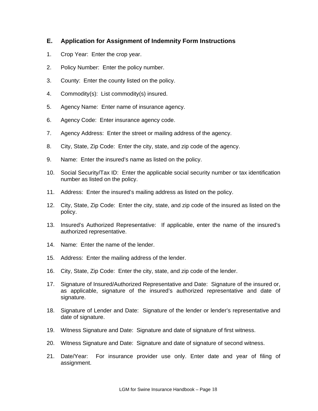## **E. Application for Assignment of Indemnity Form Instructions**

- 1. Crop Year: Enter the crop year.
- 2. Policy Number: Enter the policy number.
- 3. County: Enter the county listed on the policy.
- 4. Commodity(s): List commodity(s) insured.
- 5. Agency Name: Enter name of insurance agency.
- 6. Agency Code: Enter insurance agency code.
- 7. Agency Address: Enter the street or mailing address of the agency.
- 8. City, State, Zip Code: Enter the city, state, and zip code of the agency.
- 9. Name: Enter the insured's name as listed on the policy.
- 10. Social Security/Tax ID: Enter the applicable social security number or tax identification number as listed on the policy.
- 11. Address: Enter the insured's mailing address as listed on the policy.
- 12. City, State, Zip Code: Enter the city, state, and zip code of the insured as listed on the policy.
- 13. Insured's Authorized Representative: If applicable, enter the name of the insured's authorized representative.
- 14. Name: Enter the name of the lender.
- 15. Address: Enter the mailing address of the lender.
- 16. City, State, Zip Code: Enter the city, state, and zip code of the lender.
- 17. Signature of Insured/Authorized Representative and Date: Signature of the insured or, as applicable, signature of the insured's authorized representative and date of signature.
- 18. Signature of Lender and Date: Signature of the lender or lender's representative and date of signature.
- 19. Witness Signature and Date: Signature and date of signature of first witness.
- 20. Witness Signature and Date: Signature and date of signature of second witness.
- 21. Date/Year: For insurance provider use only. Enter date and year of filing of assignment.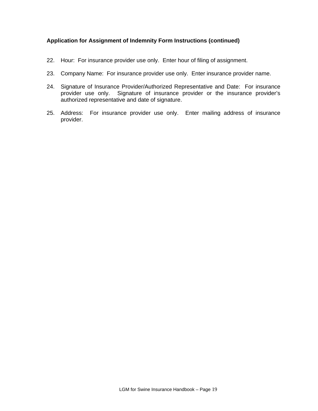#### **Application for Assignment of Indemnity Form Instructions (continued)**

- 22. Hour: For insurance provider use only. Enter hour of filing of assignment.
- 23. Company Name: For insurance provider use only. Enter insurance provider name.
- 24. Signature of Insurance Provider/Authorized Representative and Date: For insurance provider use only. Signature of insurance provider or the insurance provider's authorized representative and date of signature.
- 25. Address: For insurance provider use only. Enter mailing address of insurance provider.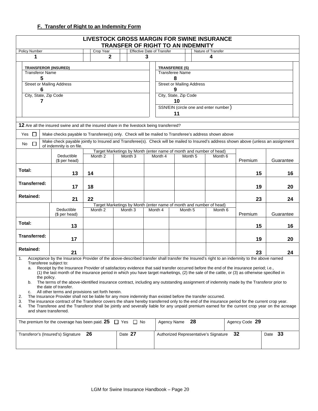## **F. Transfer of Right to an Indemnity Form**

|                                                                                                                                                                                                                                                                                                                                                                                                                                                                                                                                                                                                                                                                                                                       |                                                                                                                                                                                                                                                                                                                                                                                                                                             | <b>LIVESTOCK GROSS MARGIN FOR SWINE INSURANCE</b> | <b>TRANSFER OF RIGHT TO AN INDEMNITY</b>                            |   |                                                 |                    |         |                                       |                |           |
|-----------------------------------------------------------------------------------------------------------------------------------------------------------------------------------------------------------------------------------------------------------------------------------------------------------------------------------------------------------------------------------------------------------------------------------------------------------------------------------------------------------------------------------------------------------------------------------------------------------------------------------------------------------------------------------------------------------------------|---------------------------------------------------------------------------------------------------------------------------------------------------------------------------------------------------------------------------------------------------------------------------------------------------------------------------------------------------------------------------------------------------------------------------------------------|---------------------------------------------------|---------------------------------------------------------------------|---|-------------------------------------------------|--------------------|---------|---------------------------------------|----------------|-----------|
| Policy Number                                                                                                                                                                                                                                                                                                                                                                                                                                                                                                                                                                                                                                                                                                         |                                                                                                                                                                                                                                                                                                                                                                                                                                             | Crop Year                                         |                                                                     |   | <b>Effective Date of Transfer</b>               |                    |         | Nature of Transfer                    |                |           |
| 1                                                                                                                                                                                                                                                                                                                                                                                                                                                                                                                                                                                                                                                                                                                     |                                                                                                                                                                                                                                                                                                                                                                                                                                             | $\mathbf{2}$                                      |                                                                     | 3 |                                                 |                    |         | 4                                     |                |           |
| <b>TRANSFEROR (INSURED)</b><br><b>Transferor Name</b>                                                                                                                                                                                                                                                                                                                                                                                                                                                                                                                                                                                                                                                                 |                                                                                                                                                                                                                                                                                                                                                                                                                                             |                                                   |                                                                     |   | <b>TRANSFEREE (S)</b><br><b>Transferee Name</b> |                    |         |                                       |                |           |
| 5                                                                                                                                                                                                                                                                                                                                                                                                                                                                                                                                                                                                                                                                                                                     |                                                                                                                                                                                                                                                                                                                                                                                                                                             |                                                   |                                                                     |   |                                                 | 8                  |         |                                       |                |           |
| <b>Street or Mailing Address</b>                                                                                                                                                                                                                                                                                                                                                                                                                                                                                                                                                                                                                                                                                      |                                                                                                                                                                                                                                                                                                                                                                                                                                             |                                                   |                                                                     |   | <b>Street or Mailing Address</b>                |                    |         |                                       |                |           |
| 6                                                                                                                                                                                                                                                                                                                                                                                                                                                                                                                                                                                                                                                                                                                     |                                                                                                                                                                                                                                                                                                                                                                                                                                             |                                                   |                                                                     |   |                                                 | 9                  |         |                                       |                |           |
| City, State, Zip Code<br>7                                                                                                                                                                                                                                                                                                                                                                                                                                                                                                                                                                                                                                                                                            |                                                                                                                                                                                                                                                                                                                                                                                                                                             |                                                   |                                                                     |   | City, State, Zip Code                           | 10                 |         |                                       |                |           |
|                                                                                                                                                                                                                                                                                                                                                                                                                                                                                                                                                                                                                                                                                                                       |                                                                                                                                                                                                                                                                                                                                                                                                                                             |                                                   |                                                                     |   |                                                 | 11                 |         | SSN/EIN (circle one and enter number) |                |           |
|                                                                                                                                                                                                                                                                                                                                                                                                                                                                                                                                                                                                                                                                                                                       |                                                                                                                                                                                                                                                                                                                                                                                                                                             |                                                   |                                                                     |   |                                                 |                    |         |                                       |                |           |
|                                                                                                                                                                                                                                                                                                                                                                                                                                                                                                                                                                                                                                                                                                                       | 12 Are all the insured swine and all the insured share in the livestock being transferred?                                                                                                                                                                                                                                                                                                                                                  |                                                   |                                                                     |   |                                                 |                    |         |                                       |                |           |
| Yes $\Box$                                                                                                                                                                                                                                                                                                                                                                                                                                                                                                                                                                                                                                                                                                            | Make checks payable to Transferee(s) only. Check will be mailed to Transferee's address shown above                                                                                                                                                                                                                                                                                                                                         |                                                   |                                                                     |   |                                                 |                    |         |                                       |                |           |
| $\Box$<br>No                                                                                                                                                                                                                                                                                                                                                                                                                                                                                                                                                                                                                                                                                                          | Make check payable jointly to Insured and Transferee(s). Check will be mailed to Insured's address shown above (unless an assignment<br>of indemnity is on file.                                                                                                                                                                                                                                                                            |                                                   |                                                                     |   |                                                 |                    |         |                                       |                |           |
|                                                                                                                                                                                                                                                                                                                                                                                                                                                                                                                                                                                                                                                                                                                       |                                                                                                                                                                                                                                                                                                                                                                                                                                             |                                                   | Target Marketings by Month (enter name of month and number of head) |   |                                                 |                    |         |                                       |                |           |
|                                                                                                                                                                                                                                                                                                                                                                                                                                                                                                                                                                                                                                                                                                                       | Deductible<br>(\$ per head)                                                                                                                                                                                                                                                                                                                                                                                                                 | Month 2                                           | Month <sub>3</sub>                                                  |   | Month 4                                         |                    | Month 5 | Month 6                               | Premium        | Guarantee |
| Total:                                                                                                                                                                                                                                                                                                                                                                                                                                                                                                                                                                                                                                                                                                                | 13                                                                                                                                                                                                                                                                                                                                                                                                                                          | 14                                                |                                                                     |   |                                                 |                    |         |                                       | 15             | 16        |
| Transferred:                                                                                                                                                                                                                                                                                                                                                                                                                                                                                                                                                                                                                                                                                                          | 17                                                                                                                                                                                                                                                                                                                                                                                                                                          | 18                                                |                                                                     |   |                                                 |                    |         |                                       | 19             | 20        |
| <b>Retained:</b>                                                                                                                                                                                                                                                                                                                                                                                                                                                                                                                                                                                                                                                                                                      | 21                                                                                                                                                                                                                                                                                                                                                                                                                                          | 22                                                |                                                                     |   |                                                 |                    |         |                                       | 23             | 24        |
|                                                                                                                                                                                                                                                                                                                                                                                                                                                                                                                                                                                                                                                                                                                       |                                                                                                                                                                                                                                                                                                                                                                                                                                             |                                                   | Target Marketings by Month (enter name of month and number of head) |   |                                                 |                    |         |                                       |                |           |
|                                                                                                                                                                                                                                                                                                                                                                                                                                                                                                                                                                                                                                                                                                                       | Deductible<br>(\$ per head)                                                                                                                                                                                                                                                                                                                                                                                                                 | Month 2                                           | Month <sub>3</sub>                                                  |   | Month 4                                         | Month <sub>5</sub> |         | Month <sub>6</sub>                    | Premium        | Guarantee |
| Total:                                                                                                                                                                                                                                                                                                                                                                                                                                                                                                                                                                                                                                                                                                                | 13                                                                                                                                                                                                                                                                                                                                                                                                                                          |                                                   |                                                                     |   |                                                 |                    |         |                                       | 15             | 16        |
| <b>Transferred:</b>                                                                                                                                                                                                                                                                                                                                                                                                                                                                                                                                                                                                                                                                                                   | 17                                                                                                                                                                                                                                                                                                                                                                                                                                          |                                                   |                                                                     |   |                                                 |                    |         |                                       | 19             | 20        |
| <b>Retained:</b>                                                                                                                                                                                                                                                                                                                                                                                                                                                                                                                                                                                                                                                                                                      | 21                                                                                                                                                                                                                                                                                                                                                                                                                                          |                                                   |                                                                     |   |                                                 |                    |         |                                       | 23             | 24        |
| 1.                                                                                                                                                                                                                                                                                                                                                                                                                                                                                                                                                                                                                                                                                                                    |                                                                                                                                                                                                                                                                                                                                                                                                                                             |                                                   |                                                                     |   |                                                 |                    |         |                                       |                |           |
| Acceptance by the Insurance Provider of the above-described transfer shall transfer the Insured's right to an indemnity to the above named<br>Transferee subject to:<br>Receipt by the Insurance Provider of satisfactory evidence that said transfer occurred before the end of the insurance period; i.e.,<br>a.<br>(1) the last month of the insurance period in which you have target marketings, (2) the sale of the cattle, or (3) as otherwise specified in<br>the policy.<br>The terms of the above-identified insurance contract, including any outstanding assignment of indemnity made by the Transferor prior to<br>b.<br>the date of transfer.<br>All other terms and provisions set forth herein.<br>c. |                                                                                                                                                                                                                                                                                                                                                                                                                                             |                                                   |                                                                     |   |                                                 |                    |         |                                       |                |           |
| 2.<br>3.<br>4.                                                                                                                                                                                                                                                                                                                                                                                                                                                                                                                                                                                                                                                                                                        | The Insurance Provider shall not be liable for any more indemnity than existed before the transfer occurred.<br>The insurance contract of the Transferor covers the share hereby transferred only to the end of the insurance period for the current crop year.<br>The Transferee and the Transferor shall be jointly and severally liable for any unpaid premium earned for the current crop year on the acreage<br>and share transferred. |                                                   |                                                                     |   |                                                 |                    |         |                                       |                |           |
|                                                                                                                                                                                                                                                                                                                                                                                                                                                                                                                                                                                                                                                                                                                       | The premium for the coverage has been paid. $25 \Box$ Yes $\Box$ No                                                                                                                                                                                                                                                                                                                                                                         |                                                   |                                                                     |   | Agency Name                                     |                    | 28      |                                       | Agency Code 29 |           |
| Transferor's (Insured's) Signature                                                                                                                                                                                                                                                                                                                                                                                                                                                                                                                                                                                                                                                                                    |                                                                                                                                                                                                                                                                                                                                                                                                                                             | 26                                                | Date 27                                                             |   |                                                 |                    |         | Authorized Representative's Signature | 32             | Date 33   |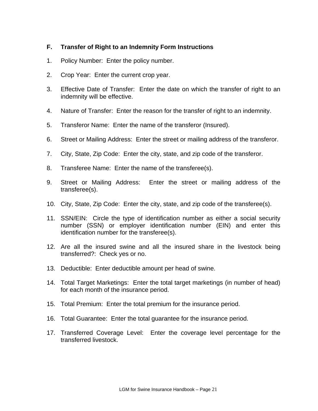## **F. Transfer of Right to an Indemnity Form Instructions**

- 1. Policy Number: Enter the policy number.
- 2. Crop Year: Enter the current crop year.
- 3. Effective Date of Transfer: Enter the date on which the transfer of right to an indemnity will be effective.
- 4. Nature of Transfer: Enter the reason for the transfer of right to an indemnity.
- 5. Transferor Name: Enter the name of the transferor (Insured).
- 6. Street or Mailing Address: Enter the street or mailing address of the transferor.
- 7. City, State, Zip Code: Enter the city, state, and zip code of the transferor.
- 8. Transferee Name: Enter the name of the transferee(s).
- 9. Street or Mailing Address: Enter the street or mailing address of the transferee(s).
- 10. City, State, Zip Code: Enter the city, state, and zip code of the transferee(s).
- 11. SSN/EIN: Circle the type of identification number as either a social security number (SSN) or employer identification number (EIN) and enter this identification number for the transferee(s).
- 12. Are all the insured swine and all the insured share in the livestock being transferred?: Check yes or no.
- 13. Deductible: Enter deductible amount per head of swine.
- 14. Total Target Marketings: Enter the total target marketings (in number of head) for each month of the insurance period.
- 15. Total Premium: Enter the total premium for the insurance period.
- 16. Total Guarantee: Enter the total guarantee for the insurance period.
- 17. Transferred Coverage Level: Enter the coverage level percentage for the transferred livestock.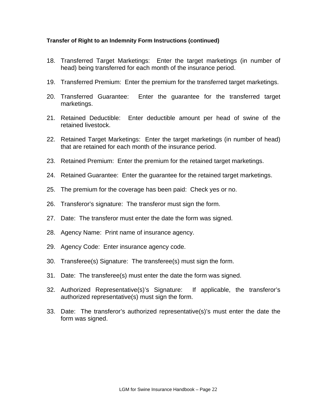#### **Transfer of Right to an Indemnity Form Instructions (continued)**

- 18. Transferred Target Marketings: Enter the target marketings (in number of head) being transferred for each month of the insurance period.
- 19. Transferred Premium: Enter the premium for the transferred target marketings.
- 20. Transferred Guarantee: Enter the guarantee for the transferred target marketings.
- 21. Retained Deductible: Enter deductible amount per head of swine of the retained livestock.
- 22. Retained Target Marketings: Enter the target marketings (in number of head) that are retained for each month of the insurance period.
- 23. Retained Premium: Enter the premium for the retained target marketings.
- 24. Retained Guarantee: Enter the guarantee for the retained target marketings.
- 25. The premium for the coverage has been paid: Check yes or no.
- 26. Transferor's signature: The transferor must sign the form.
- 27. Date: The transferor must enter the date the form was signed.
- 28. Agency Name: Print name of insurance agency.
- 29. Agency Code: Enter insurance agency code.
- 30. Transferee(s) Signature: The transferee(s) must sign the form.
- 31. Date: The transferee(s) must enter the date the form was signed.
- 32. Authorized Representative(s)'s Signature: If applicable, the transferor's authorized representative(s) must sign the form.
- 33. Date: The transferor's authorized representative(s)'s must enter the date the form was signed.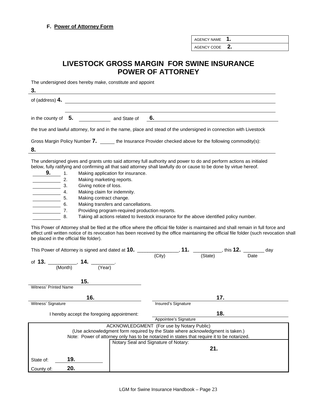AGENCY NAME **1.**

AGENCY CODE **2.**

## **LIVESTOCK GROSS MARGIN FOR SWINE INSURANCE POWER OF ATTORNEY**

The undersigned does hereby make, constitute and appoint

**3.**  of (address) **4.** in the county of **5.** and State of **6.** the true and lawful attorney, for and in the name, place and stead of the undersigned in connection with Livestock Gross Margin Policy Number 7. \_\_\_\_\_\_ the Insurance Provider checked above for the following commodity(s): **8.** The undersigned gives and grants unto said attorney full authority and power to do and perform actions as initialed below, fully ratifying and confirming all that said attorney shall lawfully do or cause to be done by virtue hereof. **9. 1.** Making application for insurance. **2.** Making marketing reports. 3. Giving notice of loss. 4. Making claim for indemnity.<br>5. Making contract change. Making contract change. 6. Making transfers and cancellations. **7.** Providing program-required production reports. 8. Taking all actions related to livestock insurance for the above identified policy number. This Power of Attorney shall be filed at the office where the official file folder is maintained and shall remain in full force and effect until written notice of its revocation has been received by the office maintaining the official file folder (such revocation shall be placed in the official file folder).

|                              | This Power of Attorney is signed and dated at 10.                                                                                                                             |                                           | _, <b>11.</b> ___________, this <b>12.</b> _______ | day  |  |  |  |
|------------------------------|-------------------------------------------------------------------------------------------------------------------------------------------------------------------------------|-------------------------------------------|----------------------------------------------------|------|--|--|--|
|                              | of 13. $\frac{1}{(M \cap n+h)}$ , 14. $\frac{1}{(Year)}$                                                                                                                      | (City)                                    | (State)                                            | Date |  |  |  |
|                              | 15.                                                                                                                                                                           |                                           |                                                    |      |  |  |  |
| <b>Witness' Printed Name</b> |                                                                                                                                                                               |                                           |                                                    |      |  |  |  |
|                              | 16.                                                                                                                                                                           | 17.                                       |                                                    |      |  |  |  |
| Witness' Signature           |                                                                                                                                                                               | Insured's Signature                       |                                                    |      |  |  |  |
|                              |                                                                                                                                                                               | 18.                                       |                                                    |      |  |  |  |
|                              | I hereby accept the foregoing appointment:                                                                                                                                    |                                           |                                                    |      |  |  |  |
|                              |                                                                                                                                                                               | Appointee's Signature                     |                                                    |      |  |  |  |
|                              | (Use acknowledgment form required by the State where acknowledgment is taken.)<br>Note: Power of attorney only has to be notarized in states that require it to be notarized. | ACKNOWLEDGMENT (For use by Notary Public) |                                                    |      |  |  |  |
|                              |                                                                                                                                                                               | Notary Seal and Signature of Notary:      |                                                    |      |  |  |  |
|                              |                                                                                                                                                                               |                                           | 21.                                                |      |  |  |  |
| State of:                    | 19.                                                                                                                                                                           |                                           |                                                    |      |  |  |  |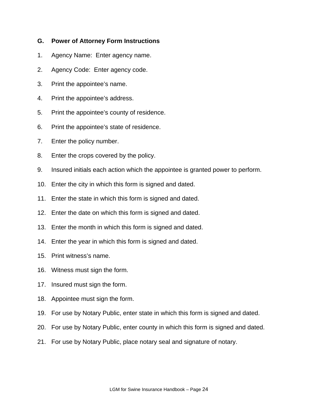## **G. Power of Attorney Form Instructions**

- 1. Agency Name: Enter agency name.
- 2. Agency Code: Enter agency code.
- 3. Print the appointee's name.
- 4. Print the appointee's address.
- 5. Print the appointee's county of residence.
- 6. Print the appointee's state of residence.
- 7. Enter the policy number.
- 8. Enter the crops covered by the policy.
- 9. Insured initials each action which the appointee is granted power to perform.
- 10. Enter the city in which this form is signed and dated.
- 11. Enter the state in which this form is signed and dated.
- 12. Enter the date on which this form is signed and dated.
- 13. Enter the month in which this form is signed and dated.
- 14. Enter the year in which this form is signed and dated.
- 15. Print witness's name.
- 16. Witness must sign the form.
- 17. Insured must sign the form.
- 18. Appointee must sign the form.
- 19. For use by Notary Public, enter state in which this form is signed and dated.
- 20. For use by Notary Public, enter county in which this form is signed and dated.
- 21. For use by Notary Public, place notary seal and signature of notary.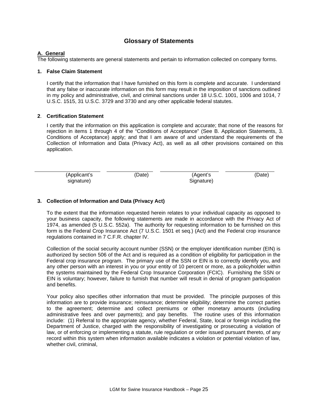## **Glossary of Statements**

#### **A. General**

The following statements are general statements and pertain to information collected on company forms.

#### **1. False Claim Statement**

I certify that the information that I have furnished on this form is complete and accurate. I understand that any false or inaccurate information on this form may result in the imposition of sanctions outlined in my policy and administrative, civil, and criminal sanctions under 18 U.S.C. 1001, 1006 and 1014, 7 U.S.C. 1515, 31 U.S.C. 3729 and 3730 and any other applicable federal statutes.

#### **2**. **Certification Statement**

I certify that the information on this application is complete and accurate; that none of the reasons for rejection in items 1 through 4 of the "Conditions of Acceptance" (See B. Application Statements, 3. Conditions of Acceptance) apply; and that I am aware of and understand the requirements of the Collection of Information and Data (Privacy Act), as well as all other provisions contained on this application.

| (Applicant's | (Date) | (Agent's   | (Date) |
|--------------|--------|------------|--------|
| signature)   |        | Signature) |        |

#### **3. Collection of Information and Data (Privacy Act)**

To the extent that the information requested herein relates to your individual capacity as opposed to your business capacity, the following statements are made in accordance with the Privacy Act of 1974, as amended (5 U.S.C. 552a). The authority for requesting information to be furnished on this form is the Federal Crop Insurance Act (7 U.S.C. 1501 et seq.) (Act) and the Federal crop insurance regulations contained in 7 C.F.R. chapter IV.

Collection of the social security account number (SSN) or the employer identification number (EIN) is authorized by section 506 of the Act and is required as a condition of eligibility for participation in the Federal crop insurance program. The primary use of the SSN or EIN is to correctly identify you, and any other person with an interest in you or your entity of 10 percent or more, as a policyholder within the systems maintained by the Federal Crop Insurance Corporation (FCIC). Furnishing the SSN or EIN is voluntary; however, failure to furnish that number will result in denial of program participation and benefits.

Your policy also specifies other information that must be provided. The principle purposes of this information are to provide insurance; reinsurance; determine eligibility; determine the correct parties to the agreement; determine and collect premiums or other monetary amounts (including administrative fees and over payments); and pay benefits. The routine uses of this information include: (1) Referral to the appropriate agency, whether Federal, State, local or foreign including the Department of Justice, charged with the responsibility of investigating or prosecuting a violation of law, or of enforcing or implementing a statute, rule regulation or order issued pursuant thereto, of any record within this system when information available indicates a violation or potential violation of law, whether civil, criminal,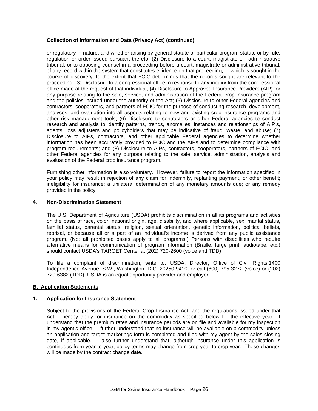#### **Collection of Information and Data (Privacy Act) (continued)**

or regulatory in nature, and whether arising by general statute or particular program statute or by rule, regulation or order issued pursuant thereto; (2) Disclosure to a court, magistrate or administrative tribunal, or to opposing counsel in a proceeding before a court, magistrate or administrative tribunal, of any record within the system that constitutes evidence on that proceeding, or which is sought in the course of discovery, to the extent that FCIC determines that the records sought are relevant to the proceeding; (3) Disclosure to a congressional office in response to any inquiry from the congressional office made at the request of that individual; (4) Disclosure to Approved Insurance Providers (AIP) for any purpose relating to the sale, service, and administration of the Federal crop insurance program and the policies insured under the authority of the Act; (5) Disclosure to other Federal agencies and contractors, cooperators, and partners of FCIC for the purpose of conducting research, development, analyses, and evaluation into all aspects relating to new and existing crop insurance programs and other risk management tools; (6) Disclosure to contractors or other Federal agencies to conduct research and analysis to identify patterns, trends, anomalies, instances and relationships of AIP's, agents, loss adjusters and policyholders that may be indicative of fraud, waste, and abuse; (7) Disclosure to AIPs, contractors, and other applicable Federal agencies to determine whether information has been accurately provided to FCIC and the AIPs and to determine compliance with program requirements; and (8) Disclosure to AIPs, contractors, cooperators, partners of FCIC, and other Federal agencies for any purpose relating to the sale, service, administration, analysis and evaluation of the Federal crop insurance program.

Furnishing other information is also voluntary. However, failure to report the information specified in your policy may result in rejection of any claim for indemnity, replanting payment, or other benefit; ineligibility for insurance; a unilateral determination of any monetary amounts due; or any remedy provided in the policy.

#### **4. Non-Discrimination Statement**

The U.S. Department of Agriculture (USDA) prohibits discrimination in all its programs and activities on the basis of race, color, national origin, age, disability, and where applicable, sex, marital status, familial status, parental status, religion, sexual orientation, genetic information, political beliefs, reprisal, or because all or a part of an individual's income is derived from any public assistance program. (Not all prohibited bases apply to all programs.) Persons with disabilities who require alternative means for communication of program information (Braille, large print, audiotape, etc.) should contact USDA's TARGET Center at (202) 720-2600 (voice and TDD).

To file a complaint of discrimination, write to: USDA, Director, Office of Civil Rights,1400 Independence Avenue, S.W., Washington, D.C. 20250-9410, or call (800) 795-3272 (voice) or (202) 720-6382 (TDD). USDA is an equal opportunity provider and employer.

#### **B. Application Statements**

#### **1. Application for Insurance Statement**

Subject to the provisions of the Federal Crop Insurance Act, and the regulations issued under that Act, I hereby apply for insurance on the commodity as specified below for the effective year. I understand that the premium rates and insurance periods are on file and available for my inspection in my agent's office. I further understand that no insurance will be available on a commodity unless an application and target marketings form is completed and filed with my agent by the sales closing date, if applicable. I also further understand that, although insurance under this application is continuous from year to year, policy terms may change from crop year to crop year. These changes will be made by the contract change date.